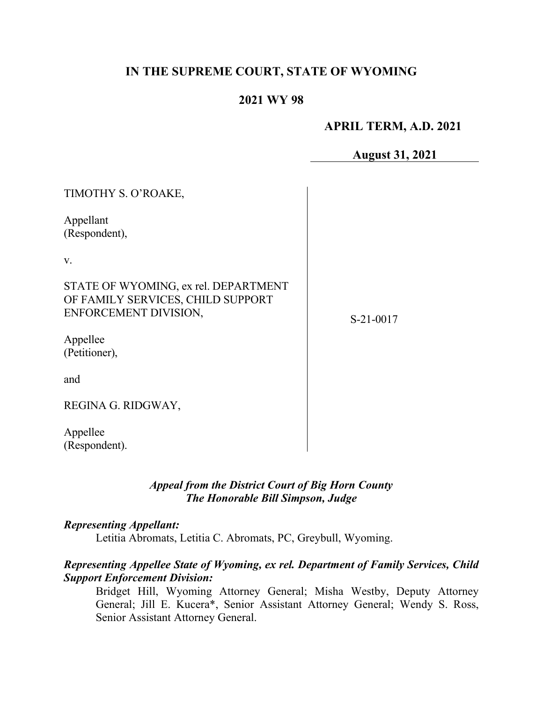## **IN THE SUPREME COURT, STATE OF WYOMING**

## **2021 WY 98**

## **APRIL TERM, A.D. 2021**

**August 31, 2021**

| TIMOTHY S. O'ROAKE,                                                                                |           |
|----------------------------------------------------------------------------------------------------|-----------|
| Appellant<br>(Respondent),                                                                         |           |
| V.                                                                                                 |           |
| STATE OF WYOMING, ex rel. DEPARTMENT<br>OF FAMILY SERVICES, CHILD SUPPORT<br>ENFORCEMENT DIVISION, | S-21-0017 |
| Appellee<br>(Petitioner),                                                                          |           |
| and                                                                                                |           |
| REGINA G. RIDGWAY,                                                                                 |           |
| Appellee<br>(Respondent).                                                                          |           |

## *Appeal from the District Court of Big Horn County The Honorable Bill Simpson, Judge*

#### *Representing Appellant:*

Letitia Abromats, Letitia C. Abromats, PC, Greybull, Wyoming.

#### *Representing Appellee State of Wyoming, ex rel. Department of Family Services, Child Support Enforcement Division:*

Bridget Hill, Wyoming Attorney General; Misha Westby, Deputy Attorney General; Jill E. Kucera\*, Senior Assistant Attorney General; Wendy S. Ross, Senior Assistant Attorney General.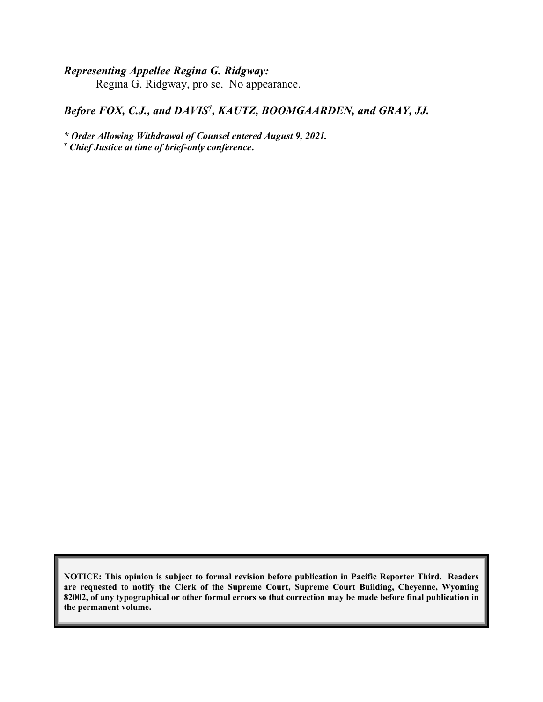## *Representing Appellee Regina G. Ridgway:*

Regina G. Ridgway, pro se. No appearance.

### Before FOX, C.J., and DAVIS<sup>†</sup>, KAUTZ, BOOMGAARDEN, and GRAY, JJ.

*\* Order Allowing Withdrawal of Counsel entered August 9, 2021. † Chief Justice at time of brief-only conference***.**

**NOTICE: This opinion is subject to formal revision before publication in Pacific Reporter Third. Readers are requested to notify the Clerk of the Supreme Court, Supreme Court Building, Cheyenne, Wyoming 82002, of any typographical or other formal errors so that correction may be made before final publication in the permanent volume.**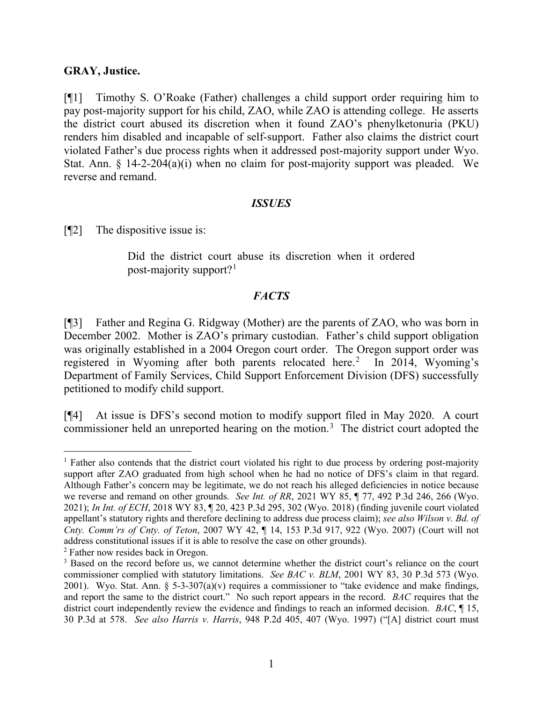#### **GRAY, Justice.**

[¶1] Timothy S. O'Roake (Father) challenges a child support order requiring him to pay post-majority support for his child, ZAO, while ZAO is attending college. He asserts the district court abused its discretion when it found ZAO's phenylketonuria (PKU) renders him disabled and incapable of self-support. Father also claims the district court violated Father's due process rights when it addressed post-majority support under Wyo. Stat. Ann. §  $14-2-204(a)(i)$  when no claim for post-majority support was pleaded. We reverse and remand.

#### *ISSUES*

[¶2] The dispositive issue is:

Did the district court abuse its discretion when it ordered post-majority support?[1](#page-2-0)

## *FACTS*

[¶3] Father and Regina G. Ridgway (Mother) are the parents of ZAO, who was born in December 2002. Mother is ZAO's primary custodian. Father's child support obligation was originally established in a 2004 Oregon court order. The Oregon support order was registered in Wyoming after both parents relocated here.<sup>[2](#page-2-1)</sup> In 2014, Wyoming's Department of Family Services, Child Support Enforcement Division (DFS) successfully petitioned to modify child support.

[¶4] At issue is DFS's second motion to modify support filed in May 2020. A court commissioner held an unreported hearing on the motion.<sup>[3](#page-2-2)</sup> The district court adopted the

<span id="page-2-0"></span><sup>&</sup>lt;sup>1</sup> Father also contends that the district court violated his right to due process by ordering post-majority support after ZAO graduated from high school when he had no notice of DFS's claim in that regard. Although Father's concern may be legitimate, we do not reach his alleged deficiencies in notice because we reverse and remand on other grounds. *See Int. of RR*, 2021 WY 85, ¶ 77, 492 P.3d 246, 266 (Wyo. 2021); *In Int. of ECH*, 2018 WY 83, ¶ 20, 423 P.3d 295, 302 (Wyo. 2018) (finding juvenile court violated appellant's statutory rights and therefore declining to address due process claim); *see also Wilson v. Bd. of Cnty. Comm'rs of Cnty. of Teton*, 2007 WY 42, ¶ 14, 153 P.3d 917, 922 (Wyo. 2007) (Court will not address constitutional issues if it is able to resolve the case on other grounds).

<span id="page-2-1"></span><sup>2</sup> Father now resides back in Oregon.

<span id="page-2-2"></span><sup>&</sup>lt;sup>3</sup> Based on the record before us, we cannot determine whether the district court's reliance on the court commissioner complied with statutory limitations. *See BAC v. BLM*, 2001 WY 83, 30 P.3d 573 (Wyo. 2001). Wyo. Stat. Ann.  $\S$  5-3-307(a)(v) requires a commissioner to "take evidence and make findings, and report the same to the district court." No such report appears in the record. *BAC* requires that the district court independently review the evidence and findings to reach an informed decision. *BAC*, ¶ 15, 30 P.3d at 578. *See also Harris v. Harris*, 948 P.2d 405, 407 (Wyo. 1997) ("[A] district court must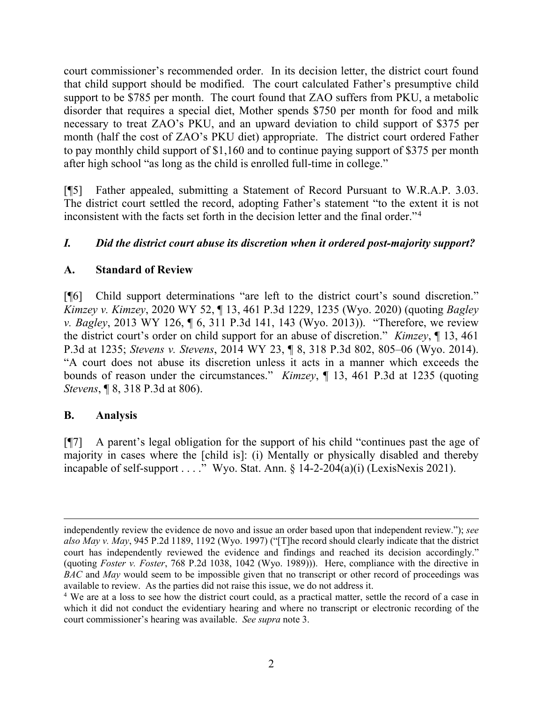court commissioner's recommended order. In its decision letter, the district court found that child support should be modified. The court calculated Father's presumptive child support to be \$785 per month. The court found that ZAO suffers from PKU, a metabolic disorder that requires a special diet, Mother spends \$750 per month for food and milk necessary to treat ZAO's PKU, and an upward deviation to child support of \$375 per month (half the cost of ZAO's PKU diet) appropriate. The district court ordered Father to pay monthly child support of \$1,160 and to continue paying support of \$375 per month after high school "as long as the child is enrolled full-time in college."

[¶5] Father appealed, submitting a Statement of Record Pursuant to W.R.A.P. 3.03. The district court settled the record, adopting Father's statement "to the extent it is not inconsistent with the facts set forth in the decision letter and the final order."[4](#page-3-0)

# *I. Did the district court abuse its discretion when it ordered post-majority support?*

# **A. Standard of Review**

[¶6] Child support determinations "are left to the district court's sound discretion." *Kimzey v. Kimzey*, 2020 WY 52, ¶ 13, 461 P.3d 1229, 1235 (Wyo. 2020) (quoting *Bagley v. Bagley*, 2013 WY 126, ¶ 6, 311 P.3d 141, 143 (Wyo. 2013)). "Therefore, we review the district court's order on child support for an abuse of discretion." *Kimzey*, ¶ 13, 461 P.3d at 1235; *Stevens v. Stevens*, 2014 WY 23, ¶ 8, 318 P.3d 802, 805–06 (Wyo. 2014). "A court does not abuse its discretion unless it acts in a manner which exceeds the bounds of reason under the circumstances." *Kimzey*, ¶ 13, 461 P.3d at 1235 (quoting *Stevens*, **[8, 318 P.3d at 806).** 

# **B. Analysis**

[¶7] A parent's legal obligation for the support of his child "continues past the age of majority in cases where the [child is]: (i) Mentally or physically disabled and thereby incapable of self-support . . . ." Wyo. Stat. Ann.  $\S$  14-2-204(a)(i) (LexisNexis 2021).

independently review the evidence de novo and issue an order based upon that independent review."); *see also May v. May*, 945 P.2d 1189, 1192 (Wyo. 1997) ("[T]he record should clearly indicate that the district court has independently reviewed the evidence and findings and reached its decision accordingly." (quoting *Foster v. Foster*, 768 P.2d 1038, 1042 (Wyo. 1989))). Here, compliance with the directive in *BAC* and *May* would seem to be impossible given that no transcript or other record of proceedings was available to review. As the parties did not raise this issue, we do not address it.

<span id="page-3-0"></span><sup>4</sup> We are at a loss to see how the district court could, as a practical matter, settle the record of a case in which it did not conduct the evidentiary hearing and where no transcript or electronic recording of the court commissioner's hearing was available. *See supra* note 3.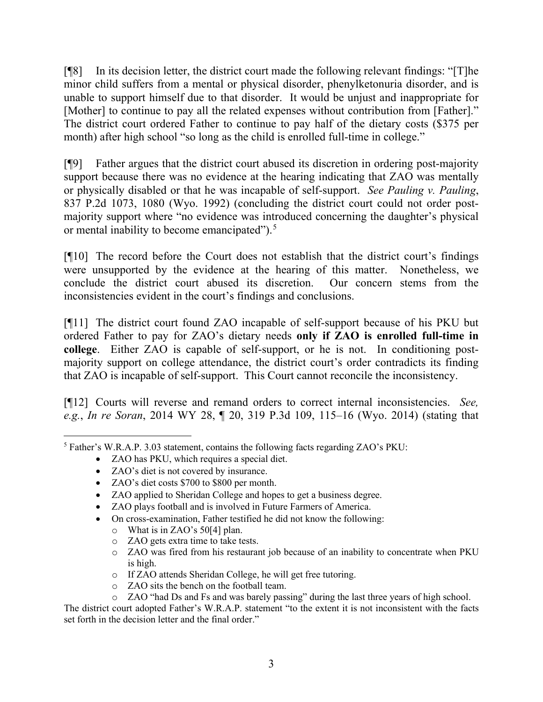[¶8] In its decision letter, the district court made the following relevant findings: "[T]he minor child suffers from a mental or physical disorder, phenylketonuria disorder, and is unable to support himself due to that disorder. It would be unjust and inappropriate for [Mother] to continue to pay all the related expenses without contribution from [Father]." The district court ordered Father to continue to pay half of the dietary costs (\$375 per month) after high school "so long as the child is enrolled full-time in college."

[¶9] Father argues that the district court abused its discretion in ordering post-majority support because there was no evidence at the hearing indicating that ZAO was mentally or physically disabled or that he was incapable of self-support. *See Pauling v. Pauling*, 837 P.2d 1073, 1080 (Wyo. 1992) (concluding the district court could not order postmajority support where "no evidence was introduced concerning the daughter's physical or mental inability to become emancipated").<sup>[5](#page-4-0)</sup>

[¶10] The record before the Court does not establish that the district court's findings were unsupported by the evidence at the hearing of this matter. Nonetheless, we conclude the district court abused its discretion. Our concern stems from the inconsistencies evident in the court's findings and conclusions.

[¶11] The district court found ZAO incapable of self-support because of his PKU but ordered Father to pay for ZAO's dietary needs **only if ZAO is enrolled full-time in college**. Either ZAO is capable of self-support, or he is not. In conditioning postmajority support on college attendance, the district court's order contradicts its finding that ZAO is incapable of self-support. This Court cannot reconcile the inconsistency.

[¶12] Courts will reverse and remand orders to correct internal inconsistencies. *See, e.g.*, *In re Soran*, 2014 WY 28, ¶ 20, 319 P.3d 109, 115–16 (Wyo. 2014) (stating that

- ZAO has PKU, which requires a special diet.
- ZAO's diet is not covered by insurance.
- ZAO's diet costs \$700 to \$800 per month.
- ZAO applied to Sheridan College and hopes to get a business degree.
- ZAO plays football and is involved in Future Farmers of America.
- On cross-examination, Father testified he did not know the following:
	- o What is in ZAO's 50[4] plan.
	- o ZAO gets extra time to take tests.
	- o ZAO was fired from his restaurant job because of an inability to concentrate when PKU is high.
	- o If ZAO attends Sheridan College, he will get free tutoring.
	- o ZAO sits the bench on the football team.
	- o ZAO "had Ds and Fs and was barely passing" during the last three years of high school.

The district court adopted Father's W.R.A.P. statement "to the extent it is not inconsistent with the facts set forth in the decision letter and the final order."

<span id="page-4-0"></span><sup>5</sup> Father's W.R.A.P. 3.03 statement, contains the following facts regarding ZAO's PKU: